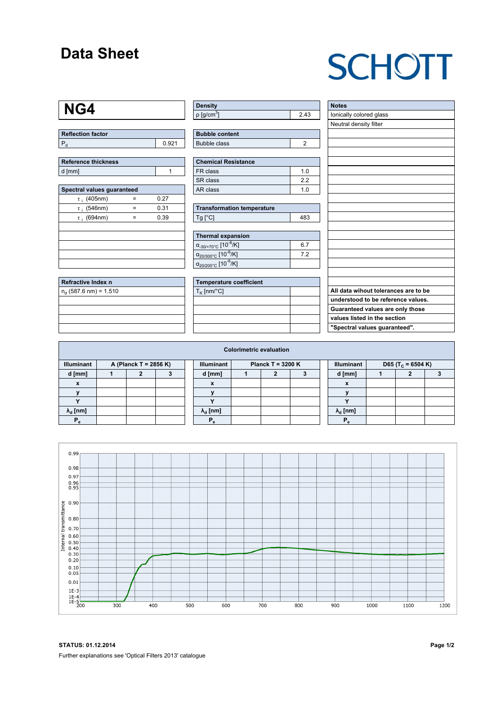### **Data Sheet**

## **SCHOTT**

#### **NG4**

| <b>Reflection factor</b> |  |
|--------------------------|--|
|                          |  |

| Reference thickness |  |
|---------------------|--|
| d [mm]              |  |

| Spectral values guaranteed |   |      |  |  |  |  |  |  |  |  |
|----------------------------|---|------|--|--|--|--|--|--|--|--|
| $\tau$ ; (405nm)           |   | 0.27 |  |  |  |  |  |  |  |  |
| $\tau$ ; (546nm)           | = | 0.31 |  |  |  |  |  |  |  |  |
| $\tau$ ; (694nm)           | = | 0.39 |  |  |  |  |  |  |  |  |
|                            |   |      |  |  |  |  |  |  |  |  |
|                            |   |      |  |  |  |  |  |  |  |  |
|                            |   |      |  |  |  |  |  |  |  |  |
|                            |   |      |  |  |  |  |  |  |  |  |
|                            |   |      |  |  |  |  |  |  |  |  |

| Refractive Index n         |  |
|----------------------------|--|
| $n_{d}$ (587.6 nm) = 1.510 |  |
|                            |  |
|                            |  |
|                            |  |
|                            |  |

| ∣ Density                |      |
|--------------------------|------|
| $p$ [g/cm <sup>3</sup> ] | ?.43 |

| <b>Bubble content</b> |  |
|-----------------------|--|
| Bubble class          |  |

| <b>Chemical Resistance</b> |     |  |  |  |  |
|----------------------------|-----|--|--|--|--|
| FR class                   | 1 በ |  |  |  |  |
| SR class                   | 22  |  |  |  |  |
| AR class                   | 1 በ |  |  |  |  |

| <b>Transformation temperature</b> |     |  |  |  |  |  |
|-----------------------------------|-----|--|--|--|--|--|
| $Tg$ [ $^{\circ}$ C]              | 483 |  |  |  |  |  |

| Thermal expansion                                 |     |
|---------------------------------------------------|-----|
| $\alpha_{-30/+70\degree}$ c [10 <sup>-6</sup> /K] | 6.7 |
| $\alpha_{20/300^{\circ}C}$ [10 $^{-6}$ /K]        | 72  |
| $\alpha_{20/200^{\circ}C}$ [10 <sup>-6</sup> /K]  |     |

| Temperature coefficient |  |  |  |  |  |  |
|-------------------------|--|--|--|--|--|--|
| $T_{\rm K}$ [nm/°C]     |  |  |  |  |  |  |
|                         |  |  |  |  |  |  |
|                         |  |  |  |  |  |  |
|                         |  |  |  |  |  |  |
|                         |  |  |  |  |  |  |

| <b>Notes</b><br>lonically colored glass |
|-----------------------------------------|
|                                         |
|                                         |
| Neutral density filter                  |
|                                         |
|                                         |
|                                         |
|                                         |
|                                         |
|                                         |
|                                         |
|                                         |
|                                         |
|                                         |
|                                         |
|                                         |
|                                         |
|                                         |
|                                         |
|                                         |
|                                         |
| All data wihout tolerances are to be    |
| understood to be reference values.      |
| Guaranteed values are only those        |
| values listed in the section            |
| "Spectral values guaranteed".           |

| <b>Colorimetric evaluation</b>             |  |   |  |  |                                          |  |  |  |  |                           |                               |  |  |
|--------------------------------------------|--|---|--|--|------------------------------------------|--|--|--|--|---------------------------|-------------------------------|--|--|
| <b>Illuminant</b><br>A (Planck T = 2856 K) |  |   |  |  | <b>Illuminant</b><br>Planck T = $3200 K$ |  |  |  |  | <b>Illuminant</b>         | D65 (T <sub>c</sub> = 6504 K) |  |  |
| d [mm]                                     |  | 2 |  |  | d [mm]                                   |  |  |  |  | d [mm]                    |                               |  |  |
| X                                          |  |   |  |  | X                                        |  |  |  |  | $\boldsymbol{\mathsf{x}}$ |                               |  |  |
|                                            |  |   |  |  |                                          |  |  |  |  |                           |                               |  |  |
|                                            |  |   |  |  |                                          |  |  |  |  | $\cdot$                   |                               |  |  |
| $\lambda_{\rm d}$ [nm]                     |  |   |  |  | $\lambda_{\rm d}$ [nm]                   |  |  |  |  | $\lambda_{\rm d}$ [nm]    |                               |  |  |
| Р,                                         |  |   |  |  | Р                                        |  |  |  |  | $P_{\alpha}$              |                               |  |  |